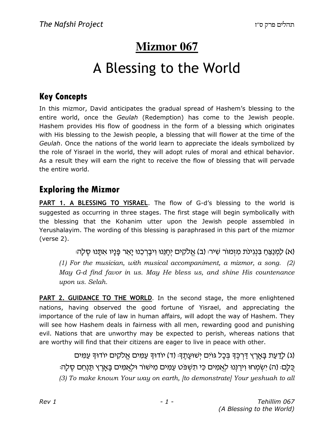# **Mizmor 067**

# A Blessing to the World

## Key Concepts

In this mizmor, David anticipates the gradual spread of Hashem's blessing to the entire world, once the Geulah (Redemption) has come to the Jewish people. Hashem provides His flow of goodness in the form of a blessing which originates with His blessing to the Jewish people, a blessing that will flower at the time of the Geulah. Once the nations of the world learn to appreciate the ideals symbolized by the role of Yisrael in the world, they will adopt rules of moral and ethical behavior. As a result they will earn the right to receive the flow of blessing that will pervade the entire world.

### Exploring the Mizmor

PART 1. A BLESSING TO YISRAEL. The flow of G-d's blessing to the world is suggested as occurring in three stages. The first stage will begin symbolically with the blessing that the Kohanim utter upon the Jewish people assembled in Yerushalayim. The wording of this blessing is paraphrased in this part of the mizmor (verse 2).

וא) לַמְנַצֵּח בִּנְגִינֹת מִזְמוֹר שִׁיר: (ב) אֱלֹקִים יְחַנֵּנוּ וְיבַרְכֵנוּ יַאֲר פַּנַיו אִתֲנוּ סֶלַה: (1) For the musician, with musical accompaniment, a mizmor, a song. (2) May G-d find favor in us. May He bless us, and shine His countenance upon us. Selah.

**PART 2. GUIDANCE TO THE WORLD**. In the second stage, the more enlightened nations, having observed the good fortune of Yisrael, and appreciating the importance of the rule of law in human affairs, will adopt the way of Hashem. They will see how Hashem deals in fairness with all men, rewarding good and punishing evil. Nations that are unworthy may be expected to perish, whereas nations that are worthy will find that their citizens are eager to live in peace with other.

(ג) לַדַעַת בַּאֲרֶץ דַּרְכֵּךְ בַּכַל גּוֹיִם יִשׁוּעַתֵךְ: (ד) יוֹדוּךְ עֲמֵים אֱלֹקִים יוֹדוּךְ עֲמֵים ּכֵּלֶם: (ה) יַשְׂמַחוּ וַירַנְּנוּ לְאֲמֵים כִּי תַעָּפֹּט עַמַּים מַיֹּשׁוֹר וּלְאֲמִים בַּאֲרֶץ תַּנְחֵם סֶלֶה (3) To make known Your way on earth, [to demonstrate] Your yeshuah to all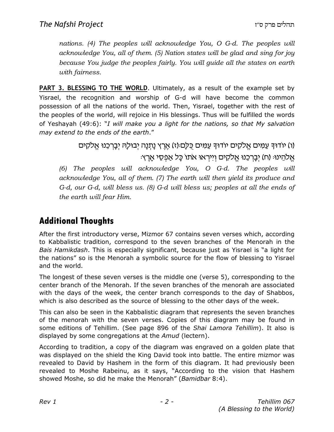nations. (4) The peoples will acknowledge You, O G-d. The peoples will acknowledge You, all of them. (5) Nation states will be glad and sing for joy because You judge the peoples fairly. You will guide all the states on earth with fairness.

**PART 3. BLESSING TO THE WORLD.** Ultimately, as a result of the example set by Yisrael, the recognition and worship of G-d will have become the common possession of all the nations of the world. Then, Yisrael, together with the rest of the peoples of the world, will rejoice in His blessings. Thus will be fulfilled the words of Yeshayah (49:6): "I will make you a light for the nations, so that My salvation may extend to the ends of the earth."

> (ו) יודוך עַמִים אֱלֹקִים יודוך עַמִים כֻּלַם (ז) אֶרֶץ נָתִנָה יִבוּלַה יִבָרְכֵנוּ אֱלֹקִים ּאֵלהֵינוּּ (ח) יִבָרְכֵנוּ אֱלֹקִים וְיִירְאוּ אֹתוֹ כָּל אַפְסֵי אָרֵץ.

(6) The peoples will acknowledge You, O G-d. The peoples will acknowledge You, all of them. (7) The earth will then yield its produce and G-d, our G-d, will bless us. (8) G-d will bless us; peoples at all the ends of the earth will fear Him.

# Additional Thoughts

After the first introductory verse, Mizmor 67 contains seven verses which, according to Kabbalistic tradition, correspond to the seven branches of the Menorah in the Bais Hamikdash. This is especially significant, because just as Yisrael is "a light for the nations" so is the Menorah a symbolic source for the flow of blessing to Yisrael and the world.

The longest of these seven verses is the middle one (verse 5), corresponding to the center branch of the Menorah. If the seven branches of the menorah are associated with the days of the week, the center branch corresponds to the day of Shabbos, which is also described as the source of blessing to the other days of the week.

This can also be seen in the Kabbalistic diagram that represents the seven branches of the menorah with the seven verses. Copies of this diagram may be found in some editions of Tehillim. (See page 896 of the *Shai Lamora Tehillim*). It also is displayed by some congregations at the Amud (lectern).

According to tradition, a copy of the diagram was engraved on a golden plate that was displayed on the shield the King David took into battle. The entire mizmor was revealed to David by Hashem in the form of this diagram. It had previously been revealed to Moshe Rabeinu, as it says, "According to the vision that Hashem showed Moshe, so did he make the Menorah" (Bamidbar 8:4).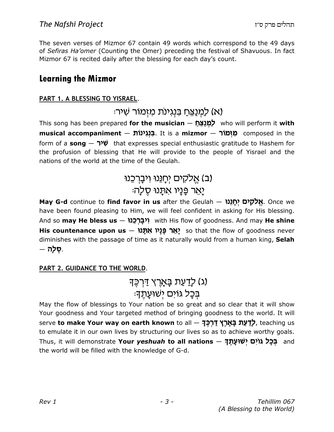The seven verses of Mizmor 67 contain 49 words which correspond to the 49 days of Sefiras Ha'omer (Counting the Omer) preceding the festival of Shavuous. In fact Mizmor 67 is recited daily after the blessing for each day's count.

#### Learning the Mizmor

#### PART 1. A BLESSING TO YISRAEL.

### א) לַמְנַצֵּחַ בִּנְגִינת מַזְמוֹר שִׁיר<del>ּ</del>י)

This song has been prepared for the musician - לַמְנַצֵּח who will perform it with musical accompaniment – בְּנְגִינוֹת composed in the form of a song  $\gamma \psi$  that expresses special enthusiastic gratitude to Hashem for the profusion of blessing that He will provide to the people of Yisrael and the nations of the world at the time of the Geulah.

# (ב) אֱלקים יְחָנֵנוּ וִיבָרְכֵנוּ ַיַּאֵר פְּנָיו אִתָּנוּ סֵלָה

May G-d continue to find favor in us after the Geulah – אֱלֹקָים יְחֻנֵּנוּ. Once we have been found pleasing to Him, we will feel confident in asking for His blessing. And so **may He bless us** – יִ**ּבַרְכֵנוּ with His flow of goodness. And may He shine** His countenance upon us  $-$  אֲמָנוּ אֲתָּנוּ so that the flow of goodness never diminishes with the passage of time as it naturally would from a human king, Selah .**סלה** –

#### PART 2. GUIDANCE TO THE WORLD.

## (ג) לָדַעַת בָּאָרֵץ דַּרְכֵּך<del>ּ</del> ּבִּכַל גּוים יִשׁוּעַתֵךָ

May the flow of blessings to Your nation be so great and so clear that it will show Your goodness and Your targeted method of bringing goodness to the world. It will serve to make Your way on earth known to all – לִדְעַת בַּאֲרֶץ דָּרְכֵּךָ teaching us to emulate it in our own lives by structuring our lives so as to achieve worthy goals. Thus, it will demonstrate Your yeshuah to all nations – בִּכַל גּוֹיִם (Will demonstrate Your yeshuah to all the world will be filled with the knowledge of G-d.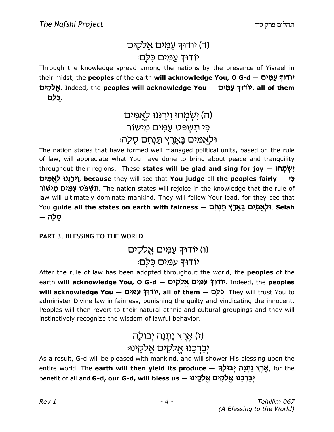# (ד) יודוּךְ עַמִים אֱלקים יודוך עמים כלם:

Through the knowledge spread among the nations by the presence of Yisrael in their midst, the **peoples** of the earth will acknowledge You, O G-d  $-$  טודוד עמים אֵלקים. Indeed, the peoples will acknowledge You – אֱלֹקִים – כ**ל**ם.

# (ה) ישְמַחוּ וִירַנְנוּ לְאֲמִים כּי תעִיפּט עַמֵּים מִישׁוֹר וּלְאֲמִים בָּאֲרֶץ תַּנְחֵם סֵלָה

The nation states that have formed well managed political units, based on the rule of law, will appreciate what You have done to bring about peace and tranquility throughout their regions. These states will be glad and sing for joy  $-$  יִשְׂמָחוּ יִירָנְנוּ לְאִמְים, because they will see that You judge all the peoples fairly  $\approx$ תשפט עמים מישור. The nation states will rejoice in the knowledge that the rule of law will ultimately dominate mankind. They will follow Your lead, for they see that You guide all the states on earth with fairness – ולאמים בארץ תנחס (Tou guide all the states on earth . סלה.

#### PART 3. BLESSING TO THE WORLD.

### (ו) יודוּךְ עַמִּים אֱלקים יודוּך עַמים כַּלַם:

After the rule of law has been adopted throughout the world, the **peoples** of the earth will acknowledge You, O G-d – אַלַּקָים אֱלֹקָים (Theed, the peoples will acknowledge You — כְּלַם , virit, all of them – כָּלַם They will trust You to administer Divine law in fairness, punishing the guilty and vindicating the innocent. Peoples will then revert to their natural ethnic and cultural groupings and they will instinctively recognize the wisdom of lawful behavior.

# (ז) אֵרֵץ נַתְנָה יִבוּל*ַ*הּ יִבְרְכֶנוּ אֱלֹקִים אֱלֹקֶינוּ:

As a result, G-d will be pleased with mankind, and will shower His blessing upon the entire world. The **earth will then yield its produce – אֶרֶץ נָתְנָה יְבוּלָה**, for the benefit of all and G-d, our G-d, will bless us – יְבָרְכֵנוּ אֱלֹקָים אֱלֹמֵינוּ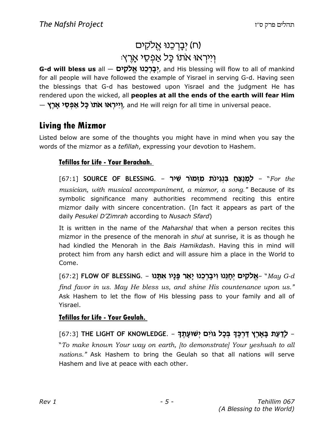# (ח) יִבְרְכֵנוּ אֵלקים ּוִירְאוּ אתוֹ כָּל אַפְסֵי אָרֵץ

G-d will bless us all — יָבַרְכֶנוּ אֱלֹקָים (G-d will bless us all — sing nahkind for all people will have followed the example of Yisrael in serving G-d. Having seen the blessings that G-d has bestowed upon Yisrael and the judgment He has rendered upon the wicked, all **peoples at all the ends of the earth will fear Him**  $-$  ייראו אתו כל אפסי ארץ ("יראו וו $\kappa$  whil reign for all time in universal peace.

### Living the Mizmor

Listed below are some of the thoughts you might have in mind when you say the words of the mizmor as a tefillah, expressing your devotion to Hashem.

#### Tefillos for Life - Your Berachah.

[67:1] SOURCE OF BLESSING. – למנצח בנגינת מזמור שיר musician, with musical accompaniment, a mizmor, a song." Because of its symbolic significance many authorities recommend reciting this entire mizmor daily with sincere concentration. (In fact it appears as part of the daily Pesukei D'Zimrah according to Nusach Sfard)

It is written in the name of the Maharshal that when a person recites this mizmor in the presence of the menorah in shul at sunrise, it is as though he had kindled the Menorah in the Bais Hamikdash. Having this in mind will protect him from any harsh edict and will assure him a place in the World to Come.

 $[67:2]$  FLOW OF BLESSING. – אֱלֹקֶים יְחֲנֵוּ וְיבַרְכֵנוּ יַאֵר פֵּנַיו אִתֲנוּ– "May G-d find favor in us. May He bless us, and shine His countenance upon us." Ask Hashem to let the flow of His blessing pass to your family and all of Yisrael.

#### Tefillos for Life - Your Geulah.

[67:3] THE LIGHT OF KNOWLEDGE. - לַדַּעַת בַּאֲרֶץ דַּרְכֵּךָ בִּכָל גּוֹיִם יִשׁוּעַתֵּךָ -"To make known Your way on earth, [to demonstrate] Your yeshuah to all nations." Ask Hashem to bring the Geulah so that all nations will serve Hashem and live at peace with each other.